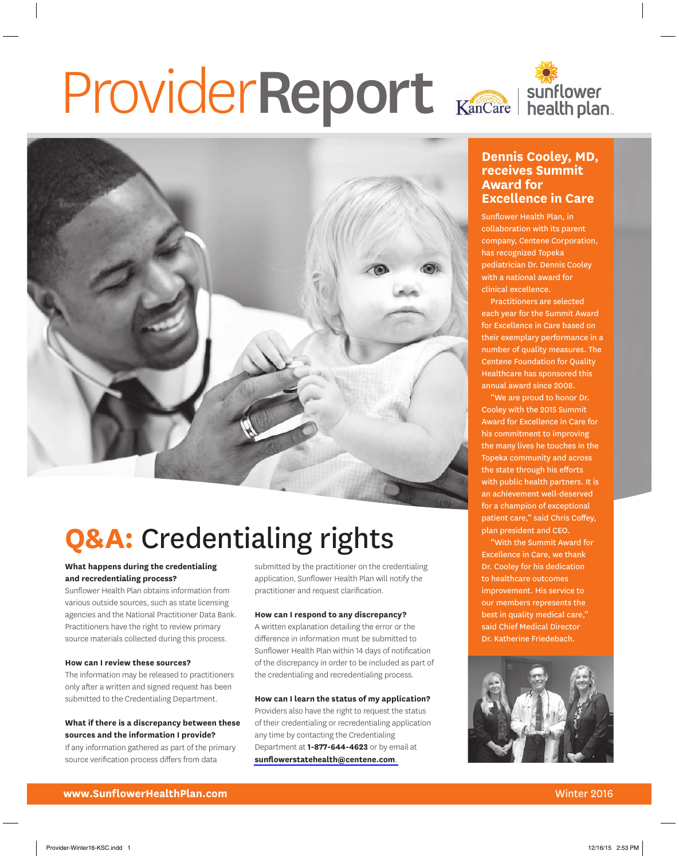# ProviderReport Kancare | Sunflower



# **Q&A:** Credentialing rights

### **What happens during the credentialing and recredentialing process?**

Sunflower Health Plan obtains information from various outside sources, such as state licensing agencies and the National Practitioner Data Bank. Practitioners have the right to review primary source materials collected during this process.

#### **How can I review these sources?**

The information may be released to practitioners only after a written and signed request has been submitted to the Credentialing Department.

### **What if there is a discrepancy between these sources and the information I provide?**

If any information gathered as part of the primary source verification process differs from data

submitted by the practitioner on the credentialing application, Sunflower Health Plan will notify the practitioner and request clarification.

### **How can I respond to any discrepancy?**

A written explanation detailing the error or the difference in information must be submitted to Sunflower Health Plan within 14 days of notification of the discrepancy in order to be included as part of the credentialing and recredentialing process.

### **How can I learn the status of my application?**

Providers also have the right to request the status of their credentialing or recredentialing application any time by contacting the Credentialing Department at **1-877-644-4623** or by email at **[sunflowerstatehealth@centene.com](mailto:sunflowerstatehealth@centene.com)**.

### **Dennis Cooley, MD, receives Summit Award for Excellence in Care**

Sunflower Health Plan, in collaboration with its parent company, Centene Corporation, has recognized Topeka pediatrician Dr. Dennis Cooley with a national award for clinical excellence.

Practitioners are selected each year for the Summit Award for Excellence in Care based on their exemplary performance in a number of quality measures. The Centene Foundation for Quality Healthcare has sponsored this annual award since 2008.

"We are proud to honor Dr. Cooley with the 2015 Summit Award for Excellence in Care for his commitment to improving the many lives he touches in the Topeka community and across the state through his efforts with public health partners. It is an achievement well-deserved for a champion of exceptional patient care," said Chris Coffey, plan president and CEO.

"With the Summit Award for Excellence in Care, we thank Dr. Cooley for his dedication to healthcare outcomes improvement. His service to our members represents the best in quality medical care," said Chief Medical Director Dr. Katherine Friedebach.

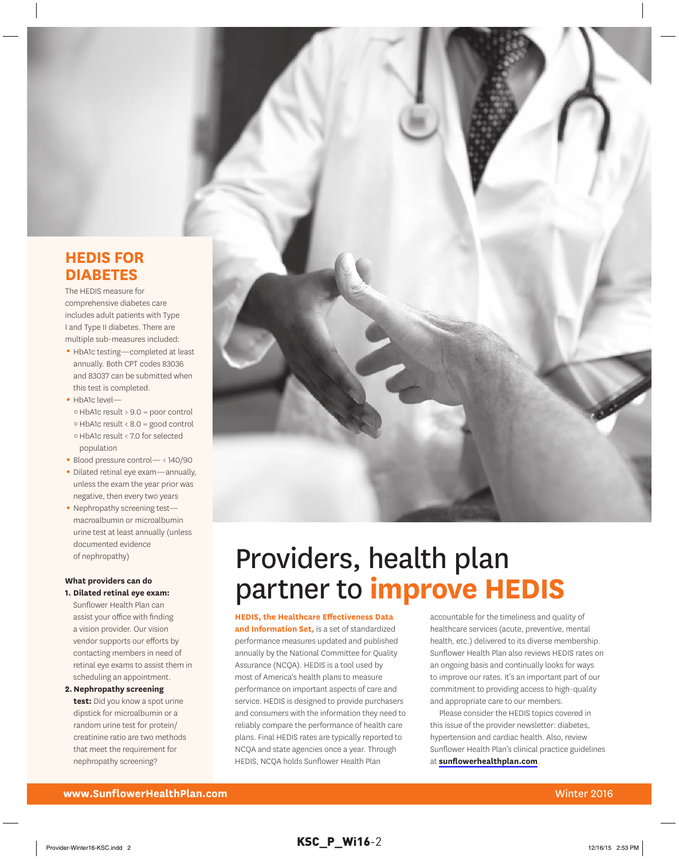### **HEDIS for DIAbEtES**

The HEDIS measure for comprehensive diabetes care includes adult patients with Type I and Type II diabetes. There are multiple sub-measures included:

- HbA1c testing—completed at least annually. Both CPT codes 83036 and 83037 can be submitted when this test is completed.
- HbA1c level
	- o HbA1c result > 9.0 = poor control
	- o HbA1c result < 8.0 = good control
	- o HbA1c result < 7.0 for selected population
- Blood pressure control— < 140/90
- Dilated retinal eye exam-annually, unless the exam the year prior was negative, then every two years
- Nephropathy screening testmacroalbumin or microalbumin urine test at least annually (unless documented evidence of nephropathy)

#### **What providers can do 1. Dilated retinal eye exam:**

- Sunflower Health Plan can assist your office with finding a vision provider. Our vision vendor supports our efforts by contacting members in need of retinal eye exams to assist them in scheduling an appointment.
- **2. Nephropathy screening test:** Did you know a spot urine dipstick for microalbumin or a random urine test for protein/ creatinine ratio are two methods that meet the requirement for nephropathy screening?



## Providers, health plan partner to **improve HEDIS**

### **HEDIS, the Healthcare Effectiveness Data**

**and Information Set,** is a set of standardized performance measures updated and published annually by the National Committee for Quality Assurance (NCQA). HEDIS is a tool used by most of America's health plans to measure performance on important aspects of care and service. HEDIS is designed to provide purchasers and consumers with the information they need to reliably compare the performance of health care plans. Final HEDIS rates are typically reported to NCQA and state agencies once a year. Through HEDIS, NCQA holds Sunflower Health Plan

accountable for the timeliness and quality of healthcare services (acute, preventive, mental health, etc.) delivered to its diverse membership. Sunflower Health Plan also reviews HEDIS rates on an ongoing basis and continually looks for ways to improve our rates. It's an important part of our commitment to providing access to high-quality and appropriate care to our members.

Please consider the HEDIS topics covered in this issue of the provider newsletter: diabetes, hypertension and cardiac health. Also, review Sunflower Health Plan's clinical practice guidelines at **[sunflowerhealthplan.com](http://www.sunflowerhealthplan.com)**.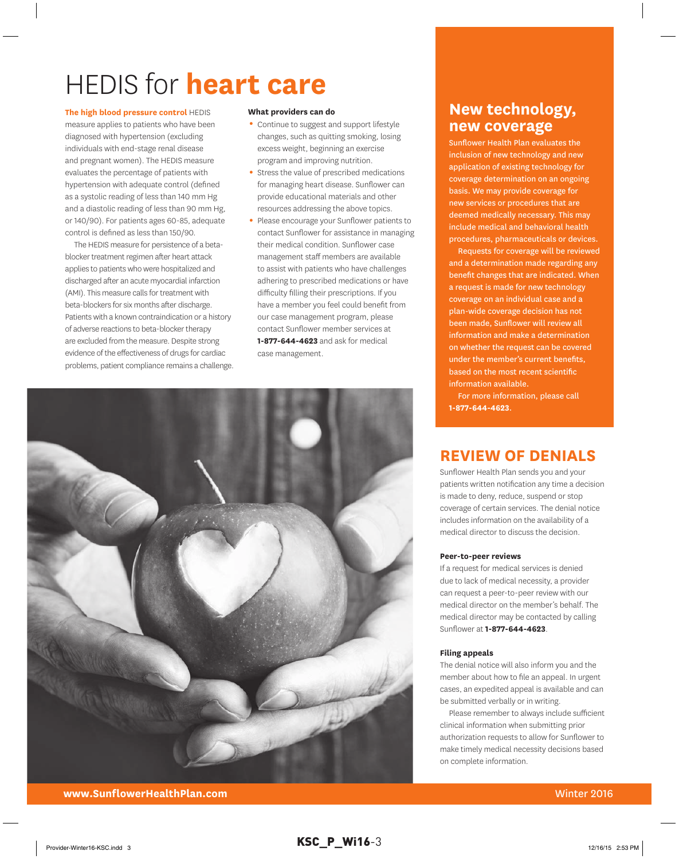# HEDIS for **heart care**

**the high blood pressure control** HEDIS

measure applies to patients who have been diagnosed with hypertension (excluding individuals with end-stage renal disease and pregnant women). The HEDIS measure evaluates the percentage of patients with hypertension with adequate control (defined as a systolic reading of less than 140 mm Hg and a diastolic reading of less than 90 mm Hg, or 140/90). For patients ages 60-85, adequate control is defined as less than 150/90.

The HEDIS measure for persistence of a betablocker treatment regimen after heart attack applies to patients who were hospitalized and discharged after an acute myocardial infarction (AMI). This measure calls for treatment with beta-blockers for six months after discharge. Patients with a known contraindication or a history of adverse reactions to beta-blocker therapy are excluded from the measure. Despite strong evidence of the effectiveness of drugs for cardiac problems, patient compliance remains a challenge.

#### **What providers can do**

- Continue to suggest and support lifestyle changes, such as quitting smoking, losing excess weight, beginning an exercise program and improving nutrition.
- Stress the value of prescribed medications for managing heart disease. Sunflower can provide educational materials and other resources addressing the above topics.
- Please encourage your Sunflower patients to contact Sunflower for assistance in managing their medical condition. Sunflower case management staff members are available to assist with patients who have challenges adhering to prescribed medications or have difficulty filling their prescriptions. If you have a member you feel could benefit from our case management program, please contact Sunflower member services at **1-877-644-4623** and ask for medical case management.



### **New technology, new coverage**

Sunflower Health Plan evaluates the inclusion of new technology and new application of existing technology for coverage determination on an ongoing basis. We may provide coverage for new services or procedures that are deemed medically necessary. This may include medical and behavioral health procedures, pharmaceuticals or devices.

Requests for coverage will be reviewed and a determination made regarding any benefit changes that are indicated. When a request is made for new technology coverage on an individual case and a plan-wide coverage decision has not been made, Sunflower will review all information and make a determination on whether the request can be covered under the member's current benefits, based on the most recent scientific information available.

For more information, please call **1-877-644-4623**.

### **rEvIEW of DENIAlS**

Sunflower Health Plan sends you and your patients written notification any time a decision is made to deny, reduce, suspend or stop coverage of certain services. The denial notice includes information on the availability of a medical director to discuss the decision.

### **Peer-to-peer reviews**

If a request for medical services is denied due to lack of medical necessity, a provider can request a peer-to-peer review with our medical director on the member's behalf. The medical director may be contacted by calling Sunflower at **1-877-644-4623**.

### **filing appeals**

The denial notice will also inform you and the member about how to file an appeal. In urgent cases, an expedited appeal is available and can be submitted verbally or in writing.

Please remember to always include sufficient clinical information when submitting prior authorization requests to allow for Sunflower to make timely medical necessity decisions based on complete information.